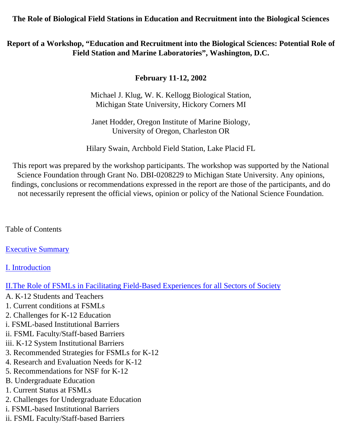#### <span id="page-0-0"></span>**The Role of Biological Field Stations in Education and Recruitment into the Biological Sciences**

#### **Report of a Workshop, "Education and Recruitment into the Biological Sciences: Potential Role of Field Station and Marine Laboratories", Washington, D.C.**

#### **February 11-12, 2002**

Michael J. Klug, W. K. Kellogg Biological Station, Michigan State University, Hickory Corners MI

Janet Hodder, Oregon Institute of Marine Biology, University of Oregon, Charleston OR

Hilary Swain, Archbold Field Station, Lake Placid FL

This report was prepared by the workshop participants. The workshop was supported by the National Science Foundation through Grant No. DBI-0208229 to Michigan State University. Any opinions, findings, conclusions or recommendations expressed in the report are those of the participants, and do not necessarily represent the official views, opinion or policy of the National Science Foundation.

Table of Contents

[Executive Summary](#page-0-0)

[I. Introduction](#page-1-0)

[II.The Role of FSMLs in Facilitating Field-Based Experiences for all Sectors of Society](#page-3-0)

- A. K-12 Students and Teachers
- 1. Current conditions at FSMLs
- 2. Challenges for K-12 Education
- i. FSML-based Institutional Barriers
- ii. FSML Faculty/Staff-based Barriers
- iii. K-12 System Institutional Barriers
- 3. Recommended Strategies for FSMLs for K-12
- 4. Research and Evaluation Needs for K-12
- 5. Recommendations for NSF for K-12
- B. Undergraduate Education
- 1. Current Status at FSMLs
- 2. Challenges for Undergraduate Education
- i. FSML-based Institutional Barriers
- ii. FSML Faculty/Staff-based Barriers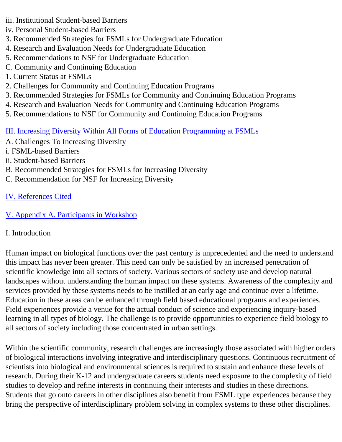- iii. Institutional Student-based Barriers
- iv. Personal Student-based Barriers
- 3. Recommended Strategies for FSMLs for Undergraduate Education
- 4. Research and Evaluation Needs for Undergraduate Education
- 5. Recommendations to NSF for Undergraduate Education
- C. Community and Continuing Education
- 1. Current Status at FSMLs
- 2. Challenges for Community and Continuing Education Programs
- 3. Recommended Strategies for FSMLs for Community and Continuing Education Programs
- 4. Research and Evaluation Needs for Community and Continuing Education Programs
- 5. Recommendations to NSF for Community and Continuing Education Programs

# [III. Increasing Diversity Within All Forms of Education Programming at FSMLs](#page-15-0)

- A. Challenges To Increasing Diversity
- i. FSML-based Barriers
- ii. Student-based Barriers
- B. Recommended Strategies for FSMLs for Increasing Diversity
- C. Recommendation for NSF for Increasing Diversity
- [IV. References Cited](#page-19-0)

# [V. Appendix A. Participants in Workshop](#page-19-1)

# <span id="page-1-0"></span>I. Introduction

Human impact on biological functions over the past century is unprecedented and the need to understand this impact has never been greater. This need can only be satisfied by an increased penetration of scientific knowledge into all sectors of society. Various sectors of society use and develop natural landscapes without understanding the human impact on these systems. Awareness of the complexity and services provided by these systems needs to be instilled at an early age and continue over a lifetime. Education in these areas can be enhanced through field based educational programs and experiences. Field experiences provide a venue for the actual conduct of science and experiencing inquiry-based learning in all types of biology. The challenge is to provide opportunities to experience field biology to all sectors of society including those concentrated in urban settings.

Within the scientific community, research challenges are increasingly those associated with higher orders of biological interactions involving integrative and interdisciplinary questions. Continuous recruitment of scientists into biological and environmental sciences is required to sustain and enhance these levels of research. During their K-12 and undergraduate careers students need exposure to the complexity of field studies to develop and refine interests in continuing their interests and studies in these directions. Students that go onto careers in other disciplines also benefit from FSML type experiences because they bring the perspective of interdisciplinary problem solving in complex systems to these other disciplines.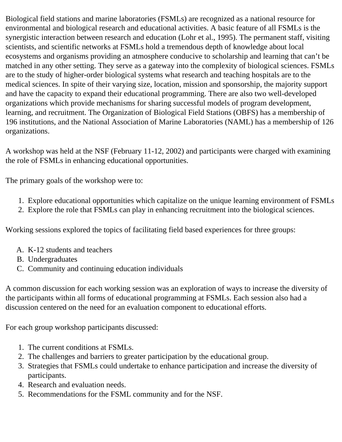Biological field stations and marine laboratories (FSMLs) are recognized as a national resource for environmental and biological research and educational activities. A basic feature of all FSMLs is the synergistic interaction between research and education (Lohr et al., 1995). The permanent staff, visiting scientists, and scientific networks at FSMLs hold a tremendous depth of knowledge about local ecosystems and organisms providing an atmosphere conducive to scholarship and learning that can't be matched in any other setting. They serve as a gateway into the complexity of biological sciences. FSMLs are to the study of higher-order biological systems what research and teaching hospitals are to the medical sciences. In spite of their varying size, location, mission and sponsorship, the majority support and have the capacity to expand their educational programming. There are also two well-developed organizations which provide mechanisms for sharing successful models of program development, learning, and recruitment. The Organization of Biological Field Stations (OBFS) has a membership of 196 institutions, and the National Association of Marine Laboratories (NAML) has a membership of 126 organizations.

A workshop was held at the NSF (February 11-12, 2002) and participants were charged with examining the role of FSMLs in enhancing educational opportunities.

The primary goals of the workshop were to:

- 1. Explore educational opportunities which capitalize on the unique learning environment of FSMLs
- 2. Explore the role that FSMLs can play in enhancing recruitment into the biological sciences.

Working sessions explored the topics of facilitating field based experiences for three groups:

- A. K-12 students and teachers
- B. Undergraduates
- C. Community and continuing education individuals

A common discussion for each working session was an exploration of ways to increase the diversity of the participants within all forms of educational programming at FSMLs. Each session also had a discussion centered on the need for an evaluation component to educational efforts.

For each group workshop participants discussed:

- 1. The current conditions at FSMLs.
- 2. The challenges and barriers to greater participation by the educational group.
- 3. Strategies that FSMLs could undertake to enhance participation and increase the diversity of participants.
- 4. Research and evaluation needs.
- 5. Recommendations for the FSML community and for the NSF.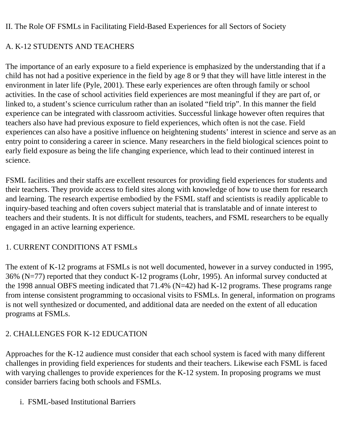<span id="page-3-0"></span>II. The Role OF FSMLs in Facilitating Field-Based Experiences for all Sectors of Society

# A. K-12 STUDENTS AND TEACHERS

The importance of an early exposure to a field experience is emphasized by the understanding that if a child has not had a positive experience in the field by age 8 or 9 that they will have little interest in the environment in later life (Pyle, 2001). These early experiences are often through family or school activities. In the case of school activities field experiences are most meaningful if they are part of, or linked to, a student's science curriculum rather than an isolated "field trip". In this manner the field experience can be integrated with classroom activities. Successful linkage however often requires that teachers also have had previous exposure to field experiences, which often is not the case. Field experiences can also have a positive influence on heightening students' interest in science and serve as an entry point to considering a career in science. Many researchers in the field biological sciences point to early field exposure as being the life changing experience, which lead to their continued interest in science.

FSML facilities and their staffs are excellent resources for providing field experiences for students and their teachers. They provide access to field sites along with knowledge of how to use them for research and learning. The research expertise embodied by the FSML staff and scientists is readily applicable to inquiry-based teaching and often covers subject material that is translatable and of innate interest to teachers and their students. It is not difficult for students, teachers, and FSML researchers to be equally engaged in an active learning experience.

# 1. CURRENT CONDITIONS AT FSMLs

The extent of K-12 programs at FSMLs is not well documented, however in a survey conducted in 1995, 36% (N=77) reported that they conduct K-12 programs (Lohr, 1995). An informal survey conducted at the 1998 annual OBFS meeting indicated that 71.4% (N=42) had K-12 programs. These programs range from intense consistent programming to occasional visits to FSMLs. In general, information on programs is not well synthesized or documented, and additional data are needed on the extent of all education programs at FSMLs.

# 2. CHALLENGES FOR K-12 EDUCATION

Approaches for the K-12 audience must consider that each school system is faced with many different challenges in providing field experiences for students and their teachers. Likewise each FSML is faced with varying challenges to provide experiences for the K-12 system. In proposing programs we must consider barriers facing both schools and FSMLs.

i. FSML-based Institutional Barriers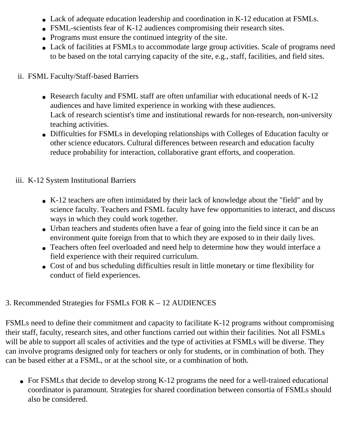- Lack of adequate education leadership and coordination in K-12 education at FSMLs.
- FSML-scientists fear of K-12 audiences compromising their research sites.
- Programs must ensure the continued integrity of the site.
- Lack of facilities at FSMLs to accommodate large group activities. Scale of programs need to be based on the total carrying capacity of the site, e.g., staff, facilities, and field sites.
- ii. FSML Faculty/Staff-based Barriers
	- Research faculty and FSML staff are often unfamiliar with educational needs of K-12 audiences and have limited experience in working with these audiences. Lack of research scientist's time and institutional rewards for non-research, non-university teaching activities.
	- Difficulties for FSMLs in developing relationships with Colleges of Education faculty or other science educators. Cultural differences between research and education faculty reduce probability for interaction, collaborative grant efforts, and cooperation.
- iii. K-12 System Institutional Barriers
	- K-12 teachers are often intimidated by their lack of knowledge about the "field" and by science faculty. Teachers and FSML faculty have few opportunities to interact, and discuss ways in which they could work together.
	- Urban teachers and students often have a fear of going into the field since it can be an environment quite foreign from that to which they are exposed to in their daily lives.
	- Teachers often feel overloaded and need help to determine how they would interface a field experience with their required curriculum.
	- Cost of and bus scheduling difficulties result in little monetary or time flexibility for conduct of field experiences.

# 3. Recommended Strategies for FSMLs FOR K – 12 AUDIENCES

FSMLs need to define their commitment and capacity to facilitate K-12 programs without compromising their staff, faculty, research sites, and other functions carried out within their facilities. Not all FSMLs will be able to support all scales of activities and the type of activities at FSMLs will be diverse. They can involve programs designed only for teachers or only for students, or in combination of both. They can be based either at a FSML, or at the school site, or a combination of both.

• For FSMLs that decide to develop strong K-12 programs the need for a well-trained educational coordinator is paramount. Strategies for shared coordination between consortia of FSMLs should also be considered.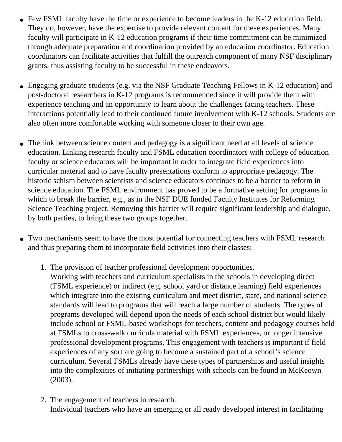- Few FSML faculty have the time or experience to become leaders in the K-12 education field. They do, however, have the expertise to provide relevant content for these experiences. Many faculty will participate in K-12 education programs if their time commitment can be minimized through adequate preparation and coordination provided by an education coordinator. Education coordinators can facilitate activities that fulfill the outreach component of many NSF disciplinary grants, thus assisting faculty to be successful in these endeavors.
- Engaging graduate students (e.g. via the NSF Graduate Teaching Fellows in K-12 education) and post-doctoral researchers in K-12 programs is recommended since it will provide them with experience teaching and an opportunity to learn about the challenges facing teachers. These interactions potentially lead to their continued future involvement with K-12 schools. Students are also often more comfortable working with someone closer to their own age.
- The link between science content and pedagogy is a significant need at all levels of science education. Linking research faculty and FSML education coordinators with college of education faculty or science educators will be important in order to integrate field experiences into curricular material and to have faculty presentations conform to appropriate pedagogy. The historic schism between scientists and science educators continues to be a barrier to reform in science education. The FSML environment has proved to be a formative setting for programs in which to break the barrier, e.g., as in the NSF DUE funded Faculty Institutes for Reforming Science Teaching project. Removing this barrier will require significant leadership and dialogue, by both parties, to bring these two groups together.
- Two mechanisms seem to have the most potential for connecting teachers with FSML research and thus preparing them to incorporate field activities into their classes:
	- 1. The provision of teacher professional development opportunities.
		- Working with teachers and curriculum specialists in the schools in developing direct (FSML experience) or indirect (e.g. school yard or distance learning) field experiences which integrate into the existing curriculum and meet district, state, and national science standards will lead to programs that will reach a large number of students. The types of programs developed will depend upon the needs of each school district but would likely include school or FSML-based workshops for teachers, content and pedagogy courses held at FSMLs to cross-walk curricula material with FSML experiences, or longer intensive professional development programs. This engagement with teachers is important if field experiences of any sort are going to become a sustained part of a school's science curriculum. Several FSMLs already have these types of partnerships and useful insights into the complexities of initiating partnerships with schools can be found in McKeown (2003).
	- 2. The engagement of teachers in research. Individual teachers who have an emerging or all ready developed interest in facilitating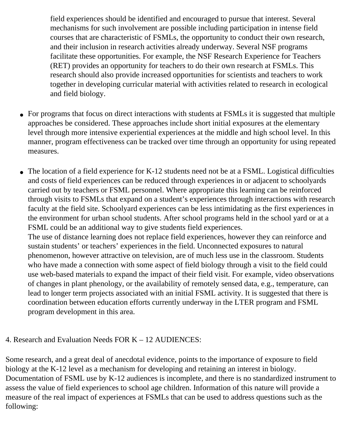field experiences should be identified and encouraged to pursue that interest. Several mechanisms for such involvement are possible including participation in intense field courses that are characteristic of FSMLs, the opportunity to conduct their own research, and their inclusion in research activities already underway. Several NSF programs facilitate these opportunities. For example, the NSF Research Experience for Teachers (RET) provides an opportunity for teachers to do their own research at FSMLs. This research should also provide increased opportunities for scientists and teachers to work together in developing curricular material with activities related to research in ecological and field biology.

- For programs that focus on direct interactions with students at FSMLs it is suggested that multiple approaches be considered. These approaches include short initial exposures at the elementary level through more intensive experiential experiences at the middle and high school level. In this manner, program effectiveness can be tracked over time through an opportunity for using repeated measures.
- The location of a field experience for K-12 students need not be at a FSML. Logistical difficulties and costs of field experiences can be reduced through experiences in or adjacent to schoolyards carried out by teachers or FSML personnel. Where appropriate this learning can be reinforced through visits to FSMLs that expand on a student's experiences through interactions with research faculty at the field site. Schoolyard experiences can be less intimidating as the first experiences in the environment for urban school students. After school programs held in the school yard or at a FSML could be an additional way to give students field experiences.

The use of distance learning does not replace field experiences, however they can reinforce and sustain students' or teachers' experiences in the field. Unconnected exposures to natural phenomenon, however attractive on television, are of much less use in the classroom. Students who have made a connection with some aspect of field biology through a visit to the field could use web-based materials to expand the impact of their field visit. For example, video observations of changes in plant phenology, or the availability of remotely sensed data, e.g., temperature, can lead to longer term projects associated with an initial FSML activity. It is suggested that there is coordination between education efforts currently underway in the LTER program and FSML program development in this area.

## 4. Research and Evaluation Needs FOR K – 12 AUDIENCES:

Some research, and a great deal of anecdotal evidence, points to the importance of exposure to field biology at the K-12 level as a mechanism for developing and retaining an interest in biology. Documentation of FSML use by K-12 audiences is incomplete, and there is no standardized instrument to assess the value of field experiences to school age children. Information of this nature will provide a measure of the real impact of experiences at FSMLs that can be used to address questions such as the following: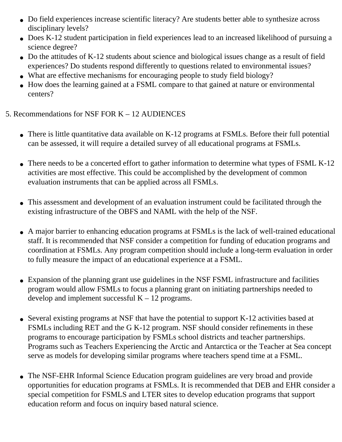- Do field experiences increase scientific literacy? Are students better able to synthesize across disciplinary levels?
- Does K-12 student participation in field experiences lead to an increased likelihood of pursuing a science degree?
- Do the attitudes of K-12 students about science and biological issues change as a result of field experiences? Do students respond differently to questions related to environmental issues?
- What are effective mechanisms for encouraging people to study field biology?
- How does the learning gained at a FSML compare to that gained at nature or environmental centers?

## 5. Recommendations for NSF FOR K – 12 AUDIENCES

- There is little quantitative data available on K-12 programs at FSMLs. Before their full potential can be assessed, it will require a detailed survey of all educational programs at FSMLs.
- There needs to be a concerted effort to gather information to determine what types of FSML K-12 activities are most effective. This could be accomplished by the development of common evaluation instruments that can be applied across all FSMLs.
- This assessment and development of an evaluation instrument could be facilitated through the existing infrastructure of the OBFS and NAML with the help of the NSF.
- A major barrier to enhancing education programs at FSMLs is the lack of well-trained educational staff. It is recommended that NSF consider a competition for funding of education programs and coordination at FSMLs. Any program competition should include a long-term evaluation in order to fully measure the impact of an educational experience at a FSML.
- Expansion of the planning grant use guidelines in the NSF FSML infrastructure and facilities program would allow FSMLs to focus a planning grant on initiating partnerships needed to develop and implement successful  $K - 12$  programs.
- Several existing programs at NSF that have the potential to support K-12 activities based at FSMLs including RET and the G K-12 program. NSF should consider refinements in these programs to encourage participation by FSMLs school districts and teacher partnerships. Programs such as Teachers Experiencing the Arctic and Antarctica or the Teacher at Sea concept serve as models for developing similar programs where teachers spend time at a FSML.
- The NSF-EHR Informal Science Education program guidelines are very broad and provide opportunities for education programs at FSMLs. It is recommended that DEB and EHR consider a special competition for FSMLS and LTER sites to develop education programs that support education reform and focus on inquiry based natural science.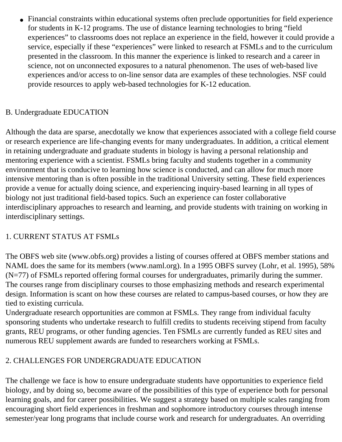● Financial constraints within educational systems often preclude opportunities for field experience for students in K-12 programs. The use of distance learning technologies to bring "field experiences" to classrooms does not replace an experience in the field, however it could provide a service, especially if these "experiences" were linked to research at FSMLs and to the curriculum presented in the classroom. In this manner the experience is linked to research and a career in science, not on unconnected exposures to a natural phenomenon. The uses of web-based live experiences and/or access to on-line sensor data are examples of these technologies. NSF could provide resources to apply web-based technologies for K-12 education.

#### B. Undergraduate EDUCATION

Although the data are sparse, anecdotally we know that experiences associated with a college field course or research experience are life-changing events for many undergraduates. In addition, a critical element in retaining undergraduate and graduate students in biology is having a personal relationship and mentoring experience with a scientist. FSMLs bring faculty and students together in a community environment that is conducive to learning how science is conducted, and can allow for much more intensive mentoring than is often possible in the traditional University setting. These field experiences provide a venue for actually doing science, and experiencing inquiry-based learning in all types of biology not just traditional field-based topics. Such an experience can foster collaborative interdisciplinary approaches to research and learning, and provide students with training on working in interdisciplinary settings.

## 1. CURRENT STATUS AT FSMLs

The OBFS web site (www.obfs.org) provides a listing of courses offered at OBFS member stations and NAML does the same for its members (www.naml.org). In a 1995 OBFS survey (Lohr, et al. 1995), 58% (N=77) of FSMLs reported offering formal courses for undergraduates, primarily during the summer. The courses range from disciplinary courses to those emphasizing methods and research experimental design. Information is scant on how these courses are related to campus-based courses, or how they are tied to existing curricula.

Undergraduate research opportunities are common at FSMLs. They range from individual faculty sponsoring students who undertake research to fulfill credits to students receiving stipend from faculty grants, REU programs, or other funding agencies. Ten FSMLs are currently funded as REU sites and numerous REU supplement awards are funded to researchers working at FSMLs.

# 2. CHALLENGES FOR UNDERGRADUATE EDUCATION

The challenge we face is how to ensure undergraduate students have opportunities to experience field biology, and by doing so, become aware of the possibilities of this type of experience both for personal learning goals, and for career possibilities. We suggest a strategy based on multiple scales ranging from encouraging short field experiences in freshman and sophomore introductory courses through intense semester/year long programs that include course work and research for undergraduates. An overriding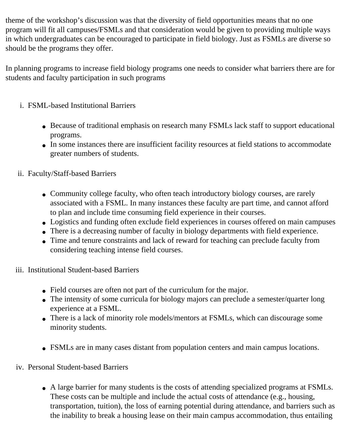theme of the workshop's discussion was that the diversity of field opportunities means that no one program will fit all campuses/FSMLs and that consideration would be given to providing multiple ways in which undergraduates can be encouraged to participate in field biology. Just as FSMLs are diverse so should be the programs they offer.

In planning programs to increase field biology programs one needs to consider what barriers there are for students and faculty participation in such programs

- i. FSML-based Institutional Barriers
	- Because of traditional emphasis on research many FSMLs lack staff to support educational programs.
	- In some instances there are insufficient facility resources at field stations to accommodate greater numbers of students.
- ii. Faculty/Staff-based Barriers
	- Community college faculty, who often teach introductory biology courses, are rarely associated with a FSML. In many instances these faculty are part time, and cannot afford to plan and include time consuming field experience in their courses.
	- Logistics and funding often exclude field experiences in courses offered on main campuses
	- There is a decreasing number of faculty in biology departments with field experience.
	- Time and tenure constraints and lack of reward for teaching can preclude faculty from considering teaching intense field courses.
- iii. Institutional Student-based Barriers
	- Field courses are often not part of the curriculum for the major.
	- The intensity of some curricula for biology majors can preclude a semester/quarter long experience at a FSML.
	- There is a lack of minority role models/mentors at FSMLs, which can discourage some minority students.
	- FSMLs are in many cases distant from population centers and main campus locations.
- iv. Personal Student-based Barriers
	- A large barrier for many students is the costs of attending specialized programs at FSMLs. These costs can be multiple and include the actual costs of attendance (e.g., housing, transportation, tuition), the loss of earning potential during attendance, and barriers such as the inability to break a housing lease on their main campus accommodation, thus entailing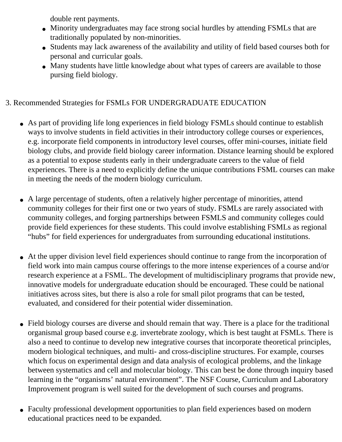double rent payments.

- Minority undergraduates may face strong social hurdles by attending FSMLs that are traditionally populated by non-minorities.
- Students may lack awareness of the availability and utility of field based courses both for personal and curricular goals.
- Many students have little knowledge about what types of careers are available to those pursing field biology.

# 3. Recommended Strategies for FSMLs FOR UNDERGRADUATE EDUCATION

- As part of providing life long experiences in field biology FSMLs should continue to establish ways to involve students in field activities in their introductory college courses or experiences, e.g. incorporate field components in introductory level courses, offer mini-courses, initiate field biology clubs, and provide field biology career information. Distance learning should be explored as a potential to expose students early in their undergraduate careers to the value of field experiences. There is a need to explicitly define the unique contributions FSML courses can make in meeting the needs of the modern biology curriculum.
- A large percentage of students, often a relatively higher percentage of minorities, attend community colleges for their first one or two years of study. FSMLs are rarely associated with community colleges, and forging partnerships between FSMLS and community colleges could provide field experiences for these students. This could involve establishing FSMLs as regional "hubs" for field experiences for undergraduates from surrounding educational institutions.
- At the upper division level field experiences should continue to range from the incorporation of field work into main campus course offerings to the more intense experiences of a course and/or research experience at a FSML. The development of multidisciplinary programs that provide new, innovative models for undergraduate education should be encouraged. These could be national initiatives across sites, but there is also a role for small pilot programs that can be tested, evaluated, and considered for their potential wider dissemination.
- Field biology courses are diverse and should remain that way. There is a place for the traditional organismal group based course e.g. invertebrate zoology, which is best taught at FSMLs. There is also a need to continue to develop new integrative courses that incorporate theoretical principles, modern biological techniques, and multi- and cross-discipline structures. For example, courses which focus on experimental design and data analysis of ecological problems, and the linkage between systematics and cell and molecular biology. This can best be done through inquiry based learning in the "organisms' natural environment". The NSF Course, Curriculum and Laboratory Improvement program is well suited for the development of such courses and programs.
- Faculty professional development opportunities to plan field experiences based on modern educational practices need to be expanded.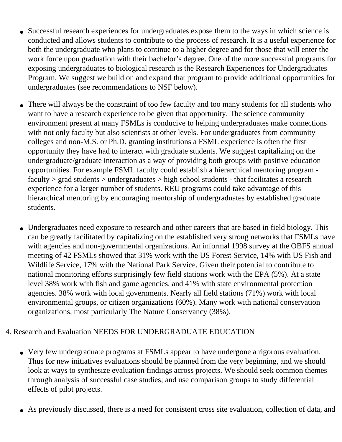- Successful research experiences for undergraduates expose them to the ways in which science is conducted and allows students to contribute to the process of research. It is a useful experience for both the undergraduate who plans to continue to a higher degree and for those that will enter the work force upon graduation with their bachelor's degree. One of the more successful programs for exposing undergraduates to biological research is the Research Experiences for Undergraduates Program. We suggest we build on and expand that program to provide additional opportunities for undergraduates (see recommendations to NSF below).
- There will always be the constraint of too few faculty and too many students for all students who want to have a research experience to be given that opportunity. The science community environment present at many FSMLs is conducive to helping undergraduates make connections with not only faculty but also scientists at other levels. For undergraduates from community colleges and non-M.S. or Ph.D. granting institutions a FSML experience is often the first opportunity they have had to interact with graduate students. We suggest capitalizing on the undergraduate/graduate interaction as a way of providing both groups with positive education opportunities. For example FSML faculty could establish a hierarchical mentoring program faculty > grad students > undergraduates > high school students - that facilitates a research experience for a larger number of students. REU programs could take advantage of this hierarchical mentoring by encouraging mentorship of undergraduates by established graduate students.
- Undergraduates need exposure to research and other careers that are based in field biology. This can be greatly facilitated by capitalizing on the established very strong networks that FSMLs have with agencies and non-governmental organizations. An informal 1998 survey at the OBFS annual meeting of 42 FSMLs showed that 31% work with the US Forest Service, 14% with US Fish and Wildlife Service, 17% with the National Park Service. Given their potential to contribute to national monitoring efforts surprisingly few field stations work with the EPA (5%). At a state level 38% work with fish and game agencies, and 41% with state environmental protection agencies. 38% work with local governments. Nearly all field stations (71%) work with local environmental groups, or citizen organizations (60%). Many work with national conservation organizations, most particularly The Nature Conservancy (38%).

#### 4. Research and Evaluation NEEDS FOR UNDERGRADUATE EDUCATION

- Very few undergraduate programs at FSMLs appear to have undergone a rigorous evaluation. Thus for new initiatives evaluations should be planned from the very beginning, and we should look at ways to synthesize evaluation findings across projects. We should seek common themes through analysis of successful case studies; and use comparison groups to study differential effects of pilot projects.
- As previously discussed, there is a need for consistent cross site evaluation, collection of data, and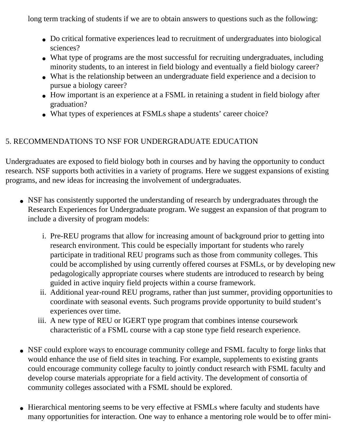long term tracking of students if we are to obtain answers to questions such as the following:

- Do critical formative experiences lead to recruitment of undergraduates into biological sciences?
- What type of programs are the most successful for recruiting undergraduates, including minority students, to an interest in field biology and eventually a field biology career?
- What is the relationship between an undergraduate field experience and a decision to pursue a biology career?
- How important is an experience at a FSML in retaining a student in field biology after graduation?
- What types of experiences at FSMLs shape a students' career choice?

#### 5. RECOMMENDATIONS TO NSF FOR UNDERGRADUATE EDUCATION

Undergraduates are exposed to field biology both in courses and by having the opportunity to conduct research. NSF supports both activities in a variety of programs. Here we suggest expansions of existing programs, and new ideas for increasing the involvement of undergraduates.

- NSF has consistently supported the understanding of research by undergraduates through the Research Experiences for Undergraduate program. We suggest an expansion of that program to include a diversity of program models:
	- i. Pre-REU programs that allow for increasing amount of background prior to getting into research environment. This could be especially important for students who rarely participate in traditional REU programs such as those from community colleges. This could be accomplished by using currently offered courses at FSMLs, or by developing new pedagologically appropriate courses where students are introduced to research by being guided in active inquiry field projects within a course framework.
	- ii. Additional year-round REU programs, rather than just summer, providing opportunities to coordinate with seasonal events. Such programs provide opportunity to build student's experiences over time.
	- iii. A new type of REU or IGERT type program that combines intense coursework characteristic of a FSML course with a cap stone type field research experience.
- NSF could explore ways to encourage community college and FSML faculty to forge links that would enhance the use of field sites in teaching. For example, supplements to existing grants could encourage community college faculty to jointly conduct research with FSML faculty and develop course materials appropriate for a field activity. The development of consortia of community colleges associated with a FSML should be explored.
- Hierarchical mentoring seems to be very effective at FSMLs where faculty and students have many opportunities for interaction. One way to enhance a mentoring role would be to offer mini-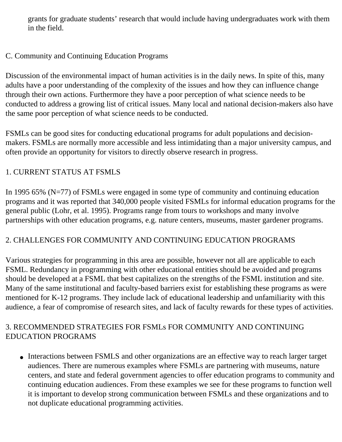grants for graduate students' research that would include having undergraduates work with them in the field.

#### C. Community and Continuing Education Programs

Discussion of the environmental impact of human activities is in the daily news. In spite of this, many adults have a poor understanding of the complexity of the issues and how they can influence change through their own actions. Furthermore they have a poor perception of what science needs to be conducted to address a growing list of critical issues. Many local and national decision-makers also have the same poor perception of what science needs to be conducted.

FSMLs can be good sites for conducting educational programs for adult populations and decisionmakers. FSMLs are normally more accessible and less intimidating than a major university campus, and often provide an opportunity for visitors to directly observe research in progress.

## 1. CURRENT STATUS AT FSMLS

In 1995 65% (N=77) of FSMLs were engaged in some type of community and continuing education programs and it was reported that 340,000 people visited FSMLs for informal education programs for the general public (Lohr, et al. 1995). Programs range from tours to workshops and many involve partnerships with other education programs, e.g. nature centers, museums, master gardener programs.

## 2. CHALLENGES FOR COMMUNITY AND CONTINUING EDUCATION PROGRAMS

Various strategies for programming in this area are possible, however not all are applicable to each FSML. Redundancy in programming with other educational entities should be avoided and programs should be developed at a FSML that best capitalizes on the strengths of the FSML institution and site. Many of the same institutional and faculty-based barriers exist for establishing these programs as were mentioned for K-12 programs. They include lack of educational leadership and unfamiliarity with this audience, a fear of compromise of research sites, and lack of faculty rewards for these types of activities.

# 3. RECOMMENDED STRATEGIES FOR FSMLs FOR COMMUNITY AND CONTINUING EDUCATION PROGRAMS

• Interactions between FSMLS and other organizations are an effective way to reach larger target audiences. There are numerous examples where FSMLs are partnering with museums, nature centers, and state and federal government agencies to offer education programs to community and continuing education audiences. From these examples we see for these programs to function well it is important to develop strong communication between FSMLs and these organizations and to not duplicate educational programming activities.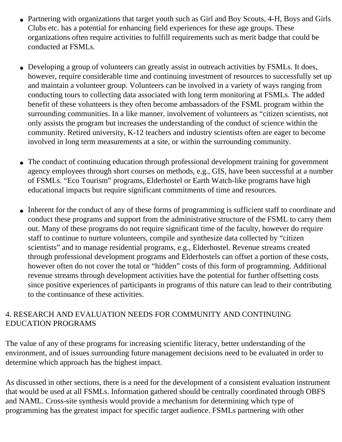- Partnering with organizations that target youth such as Girl and Boy Scouts, 4-H, Boys and Girls Clubs etc. has a potential for enhancing field experiences for these age groups. These organizations often require activities to fulfill requirements such as merit badge that could be conducted at FSMLs.
- Developing a group of volunteers can greatly assist in outreach activities by FSMLs. It does, however, require considerable time and continuing investment of resources to successfully set up and maintain a volunteer group. Volunteers can be involved in a variety of ways ranging from conducting tours to collecting data associated with long term monitoring at FSMLs. The added benefit of these volunteers is they often become ambassadors of the FSML program within the surrounding communities. In a like manner, involvement of volunteers as "citizen scientists, not only assists the program but increases the understanding of the conduct of science within the community. Retired university, K-12 teachers and industry scientists often are eager to become involved in long term measurements at a site, or within the surrounding community.
- The conduct of continuing education through professional development training for government agency employees through short courses on methods, e.g., GIS, have been successful at a number of FSMLs. "Eco Tourism" programs, Elderhostel or Earth Watch-like programs have high educational impacts but require significant commitments of time and resources.
- Inherent for the conduct of any of these forms of programming is sufficient staff to coordinate and conduct these programs and support from the administrative structure of the FSML to carry them out. Many of these programs do not require significant time of the faculty, however do require staff to continue to nurture volunteers, compile and synthesize data collected by "citizen scientists" and to manage residential programs, e.g., Elderhostel. Revenue streams created through professional development programs and Elderhostels can offset a portion of these costs, however often do not cover the total or "hidden" costs of this form of programming. Additional revenue streams through development activities have the potential for further offsetting costs since positive experiences of participants in programs of this nature can lead to their contributing to the continuance of these activities.

## 4. RESEARCH AND EVALUATION NEEDS FOR COMMUNITY AND CONTINUING EDUCATION PROGRAMS

The value of any of these programs for increasing scientific literacy, better understanding of the environment, and of issues surrounding future management decisions need to be evaluated in order to determine which approach has the highest impact.

As discussed in other sections, there is a need for the development of a consistent evaluation instrument that would be used at all FSMLs. Information gathered should be centrally coordinated through OBFS and NAML. Cross-site synthesis would provide a mechanism for determining which type of programming has the greatest impact for specific target audience. FSMLs partnering with other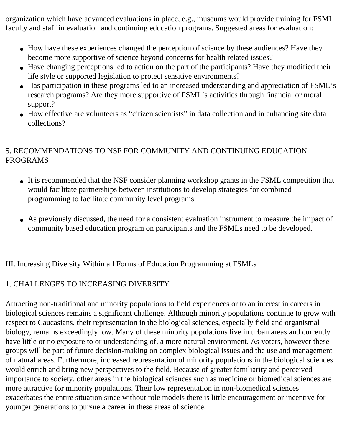organization which have advanced evaluations in place, e.g., museums would provide training for FSML faculty and staff in evaluation and continuing education programs. Suggested areas for evaluation:

- How have these experiences changed the perception of science by these audiences? Have they become more supportive of science beyond concerns for health related issues?
- Have changing perceptions led to action on the part of the participants? Have they modified their life style or supported legislation to protect sensitive environments?
- Has participation in these programs led to an increased understanding and appreciation of FSML's research programs? Are they more supportive of FSML's activities through financial or moral support?
- How effective are volunteers as "citizen scientists" in data collection and in enhancing site data collections?

# 5. RECOMMENDATIONS TO NSF FOR COMMUNITY AND CONTINUING EDUCATION PROGRAMS

- It is recommended that the NSF consider planning workshop grants in the FSML competition that would facilitate partnerships between institutions to develop strategies for combined programming to facilitate community level programs.
- As previously discussed, the need for a consistent evaluation instrument to measure the impact of community based education program on participants and the FSMLs need to be developed.

<span id="page-15-0"></span>III. Increasing Diversity Within all Forms of Education Programming at FSMLs

## 1. CHALLENGES TO INCREASING DIVERSITY

Attracting non-traditional and minority populations to field experiences or to an interest in careers in biological sciences remains a significant challenge. Although minority populations continue to grow with respect to Caucasians, their representation in the biological sciences, especially field and organismal biology, remains exceedingly low. Many of these minority populations live in urban areas and currently have little or no exposure to or understanding of, a more natural environment. As voters, however these groups will be part of future decision-making on complex biological issues and the use and management of natural areas. Furthermore, increased representation of minority populations in the biological sciences would enrich and bring new perspectives to the field. Because of greater familiarity and perceived importance to society, other areas in the biological sciences such as medicine or biomedical sciences are more attractive for minority populations. Their low representation in non-biomedical sciences exacerbates the entire situation since without role models there is little encouragement or incentive for younger generations to pursue a career in these areas of science.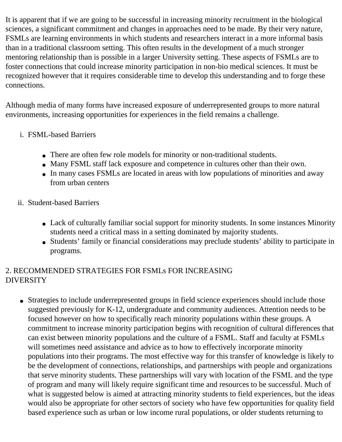It is apparent that if we are going to be successful in increasing minority recruitment in the biological sciences, a significant commitment and changes in approaches need to be made. By their very nature, FSMLs are learning environments in which students and researchers interact in a more informal basis than in a traditional classroom setting. This often results in the development of a much stronger mentoring relationship than is possible in a larger University setting. These aspects of FSMLs are to foster connections that could increase minority participation in non-bio medical sciences. It must be recognized however that it requires considerable time to develop this understanding and to forge these connections.

Although media of many forms have increased exposure of underrepresented groups to more natural environments, increasing opportunities for experiences in the field remains a challenge.

## i. FSML-based Barriers

- There are often few role models for minority or non-traditional students.
- Many FSML staff lack exposure and competence in cultures other than their own.
- In many cases FSMLs are located in areas with low populations of minorities and away from urban centers
- ii. Student-based Barriers
	- Lack of culturally familiar social support for minority students. In some instances Minority students need a critical mass in a setting dominated by majority students.
	- Students' family or financial considerations may preclude students' ability to participate in programs.

## 2. RECOMMENDED STRATEGIES FOR FSMLs FOR INCREASING **DIVERSITY**

● Strategies to include underrepresented groups in field science experiences should include those suggested previously for K-12, undergraduate and community audiences. Attention needs to be focused however on how to specifically reach minority populations within these groups. A commitment to increase minority participation begins with recognition of cultural differences that can exist between minority populations and the culture of a FSML. Staff and faculty at FSMLs will sometimes need assistance and advice as to how to effectively incorporate minority populations into their programs. The most effective way for this transfer of knowledge is likely to be the development of connections, relationships, and partnerships with people and organizations that serve minority students. These partnerships will vary with location of the FSML and the type of program and many will likely require significant time and resources to be successful. Much of what is suggested below is aimed at attracting minority students to field experiences, but the ideas would also be appropriate for other sectors of society who have few opportunities for quality field based experience such as urban or low income rural populations, or older students returning to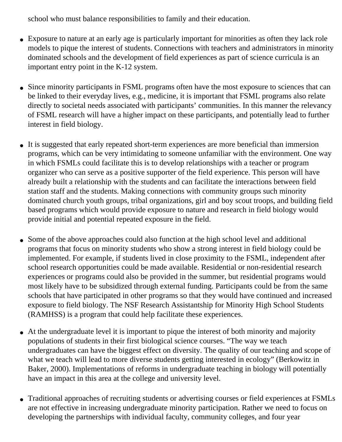school who must balance responsibilities to family and their education.

- Exposure to nature at an early age is particularly important for minorities as often they lack role models to pique the interest of students. Connections with teachers and administrators in minority dominated schools and the development of field experiences as part of science curricula is an important entry point in the K-12 system.
- Since minority participants in FSML programs often have the most exposure to sciences that can be linked to their everyday lives, e.g., medicine, it is important that FSML programs also relate directly to societal needs associated with participants' communities. In this manner the relevancy of FSML research will have a higher impact on these participants, and potentially lead to further interest in field biology.
- It is suggested that early repeated short-term experiences are more beneficial than immersion programs, which can be very intimidating to someone unfamiliar with the environment. One way in which FSMLs could facilitate this is to develop relationships with a teacher or program organizer who can serve as a positive supporter of the field experience. This person will have already built a relationship with the students and can facilitate the interactions between field station staff and the students. Making connections with community groups such minority dominated church youth groups, tribal organizations, girl and boy scout troops, and building field based programs which would provide exposure to nature and research in field biology would provide initial and potential repeated exposure in the field.
- Some of the above approaches could also function at the high school level and additional programs that focus on minority students who show a strong interest in field biology could be implemented. For example, if students lived in close proximity to the FSML, independent after school research opportunities could be made available. Residential or non-residential research experiences or programs could also be provided in the summer, but residential programs would most likely have to be subsidized through external funding. Participants could be from the same schools that have participated in other programs so that they would have continued and increased exposure to field biology. The NSF Research Assistantship for Minority High School Students (RAMHSS) is a program that could help facilitate these experiences.
- At the undergraduate level it is important to pique the interest of both minority and majority populations of students in their first biological science courses. "The way we teach undergraduates can have the biggest effect on diversity. The quality of our teaching and scope of what we teach will lead to more diverse students getting interested in ecology" (Berkowitz in Baker, 2000). Implementations of reforms in undergraduate teaching in biology will potentially have an impact in this area at the college and university level.
- Traditional approaches of recruiting students or advertising courses or field experiences at FSMLs are not effective in increasing undergraduate minority participation. Rather we need to focus on developing the partnerships with individual faculty, community colleges, and four year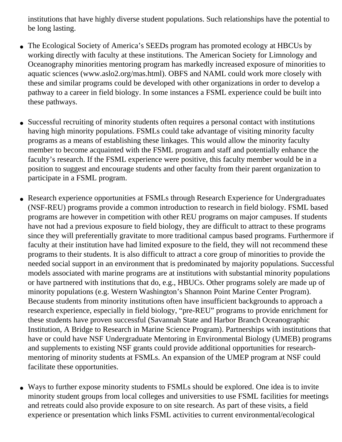institutions that have highly diverse student populations. Such relationships have the potential to be long lasting.

- The Ecological Society of America's SEEDs program has promoted ecology at HBCUs by working directly with faculty at these institutions. The American Society for Limnology and Oceanography minorities mentoring program has markedly increased exposure of minorities to aquatic sciences (www.aslo2.org/mas.html). OBFS and NAML could work more closely with these and similar programs could be developed with other organizations in order to develop a pathway to a career in field biology. In some instances a FSML experience could be built into these pathways.
- Successful recruiting of minority students often requires a personal contact with institutions having high minority populations. FSMLs could take advantage of visiting minority faculty programs as a means of establishing these linkages. This would allow the minority faculty member to become acquainted with the FSML program and staff and potentially enhance the faculty's research. If the FSML experience were positive, this faculty member would be in a position to suggest and encourage students and other faculty from their parent organization to participate in a FSML program.
- Research experience opportunities at FSMLs through Research Experience for Undergraduates (NSF-REU) programs provide a common introduction to research in field biology. FSML based programs are however in competition with other REU programs on major campuses. If students have not had a previous exposure to field biology, they are difficult to attract to these programs since they will preferentially gravitate to more traditional campus based programs. Furthermore if faculty at their institution have had limited exposure to the field, they will not recommend these programs to their students. It is also difficult to attract a core group of minorities to provide the needed social support in an environment that is predominated by majority populations. Successful models associated with marine programs are at institutions with substantial minority populations or have partnered with institutions that do, e.g., HBUCs. Other programs solely are made up of minority populations (e.g. Western Washington's Shannon Point Marine Center Program). Because students from minority institutions often have insufficient backgrounds to approach a research experience, especially in field biology, "pre-REU" programs to provide enrichment for these students have proven successful (Savannah State and Harbor Branch Oceanographic Institution, A Bridge to Research in Marine Science Program). Partnerships with institutions that have or could have NSF Undergraduate Mentoring in Environmental Biology (UMEB) programs and supplements to existing NSF grants could provide additional opportunities for researchmentoring of minority students at FSMLs. An expansion of the UMEP program at NSF could facilitate these opportunities.
- Ways to further expose minority students to FSMLs should be explored. One idea is to invite minority student groups from local colleges and universities to use FSML facilities for meetings and retreats could also provide exposure to on site research. As part of these visits, a field experience or presentation which links FSML activities to current environmental/ecological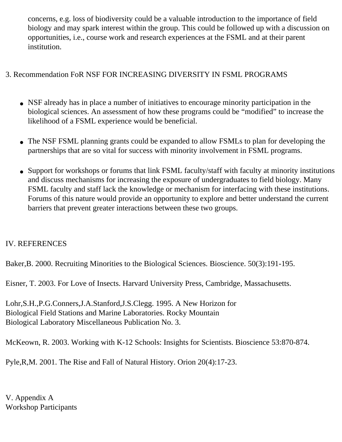concerns, e.g. loss of biodiversity could be a valuable introduction to the importance of field biology and may spark interest within the group. This could be followed up with a discussion on opportunities, i.e., course work and research experiences at the FSML and at their parent institution.

# 3. Recommendation FoR NSF FOR INCREASING DIVERSITY IN FSML PROGRAMS

- NSF already has in place a number of initiatives to encourage minority participation in the biological sciences. An assessment of how these programs could be "modified" to increase the likelihood of a FSML experience would be beneficial.
- The NSF FSML planning grants could be expanded to allow FSMLs to plan for developing the partnerships that are so vital for success with minority involvement in FSML programs.
- Support for workshops or forums that link FSML faculty/staff with faculty at minority institutions and discuss mechanisms for increasing the exposure of undergraduates to field biology. Many FSML faculty and staff lack the knowledge or mechanism for interfacing with these institutions. Forums of this nature would provide an opportunity to explore and better understand the current barriers that prevent greater interactions between these two groups.

## <span id="page-19-0"></span>IV. REFERENCES

Baker,B. 2000. Recruiting Minorities to the Biological Sciences. Bioscience. 50(3):191-195.

Eisner, T. 2003. For Love of Insects. Harvard University Press, Cambridge, Massachusetts.

Lohr,S.H.,P.G.Conners,J.A.Stanford,J.S.Clegg. 1995. A New Horizon for Biological Field Stations and Marine Laboratories. Rocky Mountain Biological Laboratory Miscellaneous Publication No. 3.

McKeown, R. 2003. Working with K-12 Schools: Insights for Scientists. Bioscience 53:870-874.

Pyle,R,M. 2001. The Rise and Fall of Natural History. Orion 20(4):17-23.

<span id="page-19-1"></span>V. Appendix A Workshop Participants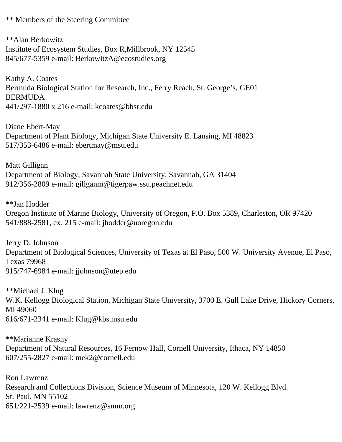\*\* Members of the Steering Committee

\*\*Alan Berkowitz Institute of Ecosystem Studies, Box R,Millbrook, NY 12545 845/677-5359 e-mail: BerkowitzA@ecostudies.org

Kathy A. Coates Bermuda Biological Station for Research, Inc., Ferry Reach, St. George's, GE01 BERMUDA 441/297-1880 x 216 e-mail: kcoates@bbsr.edu

Diane Ebert-May Department of Plant Biology, Michigan State University E. Lansing, MI 48823 517/353-6486 e-mail: ebertmay@msu.edu

Matt Gilligan Department of Biology, Savannah State University, Savannah, GA 31404 912/356-2809 e-mail: gillganm@tigerpaw.ssu.peachnet.edu

\*\*Jan Hodder Oregon Institute of Marine Biology, University of Oregon, P.O. Box 5389, Charleston, OR 97420 541/888-2581, ex. 215 e-mail: jhodder@uoregon.edu

Jerry D. Johnson Department of Biological Sciences, University of Texas at El Paso, 500 W. University Avenue, El Paso, Texas 79968 915/747-6984 e-mail: jjohnson@utep.edu

\*\*Michael J. Klug W.K. Kellogg Biological Station, Michigan State University, 3700 E. Gull Lake Drive, Hickory Corners, MI 49060 616/671-2341 e-mail: Klug@kbs.msu.edu

\*\*Marianne Krasny Department of Natural Resources, 16 Fernow Hall, Cornell University, Ithaca, NY 14850 607/255-2827 e-mail: mek2@cornell.edu

Ron Lawrenz Research and Collections Division, Science Museum of Minnesota, 120 W. Kellogg Blvd. St. Paul, MN 55102 651/221-2539 e-mail: lawrenz@smm.org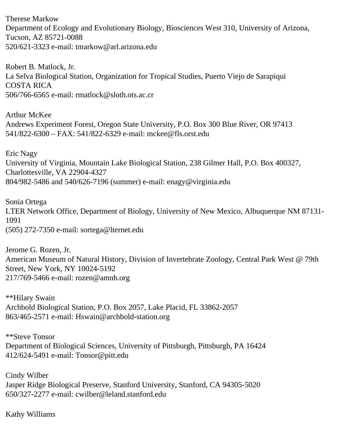Therese Markow

Department of Ecology and Evolutionary Biology, Biosciences West 310, University of Arizona, Tucson, AZ 85721-0088 520/621-3323 e-mail: tmarkow@arl.arizona.edu

Robert B. Matlock, Jr. La Selva Biological Station, Organization for Tropical Studies, Puerto Viejo de Sarapiqui COSTA RICA 506/766-6565 e-mail: rmatlock@sloth.ots.ac.cr

Arthur McKee Andrews Experiment Forest, Oregon State University, P.O. Box 300 Blue River, OR 97413 541/822-6300 – FAX: 541/822-6329 e-mail: mckee@fls.orst.edu

Eric Nagy University of Virginia, Mountain Lake Biological Station, 238 Gilmer Hall, P.O. Box 400327, Charlottesville, VA 22904-4327 804/982-5486 and 540/626-7196 (summer) e-mail: enagy@virginia.edu

Sonia Ortega LTER Network Office, Department of Biology, University of New Mexico, Albuquerque NM 87131- 1091 (505) 272-7350 e-mail: sortega@lternet.edu

Jerome G. Rozen, Jr. American Museum of Natural History, Division of Invertebrate Zoology, Central Park West @ 79th Street, New York, NY 10024-5192 217/769-5466 e-mail: rozen@amnh.org

\*\*Hilary Swain Archbold Biological Station, P.O. Box 2057, Lake Placid, FL 33862-2057 863/465-2571 e-mail: Hswain@archbold-station.org

\*\*Steve Tonsor Department of Biological Sciences, University of Pittsburgh, Pittsburgh, PA 16424 412/624-5491 e-mail: Tonsor@pitt.edu

Cindy Wilber Jasper Ridge Biological Preserve, Stanford University, Stanford, CA 94305-5020 650/327-2277 e-mail: cwilber@leland.stanford.edu

Kathy Williams